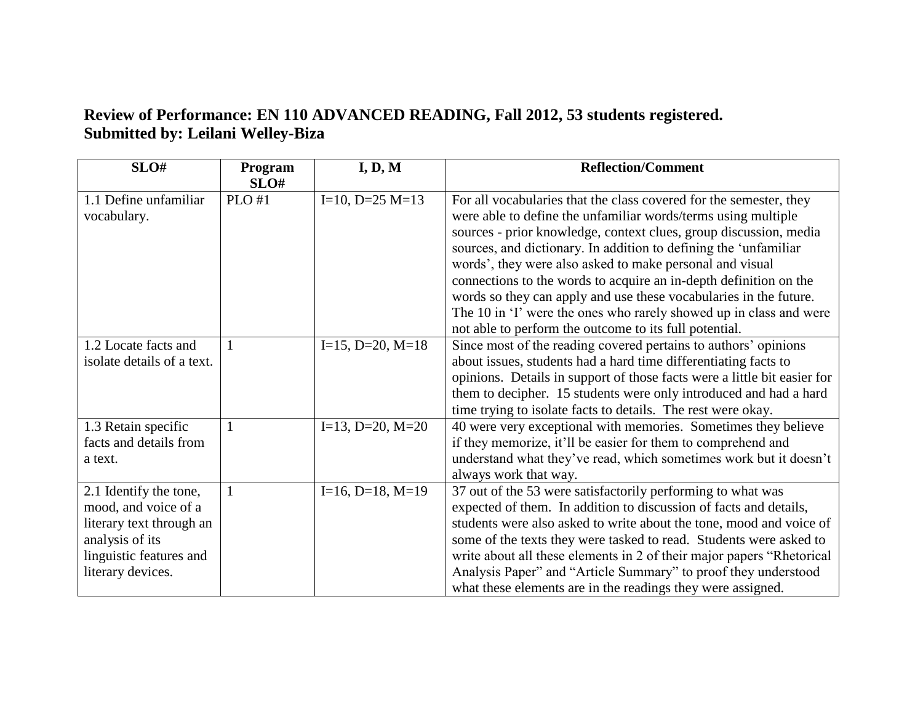## **Review of Performance: EN 110 ADVANCED READING, Fall 2012, 53 students registered. Submitted by: Leilani Welley-Biza**

| SLO#                                                                                                                                          | Program<br>SLO# | I, D, M                  | <b>Reflection/Comment</b>                                                                                                                                                                                                                                                                                                                                                                                                                                                                                                                                                                                          |
|-----------------------------------------------------------------------------------------------------------------------------------------------|-----------------|--------------------------|--------------------------------------------------------------------------------------------------------------------------------------------------------------------------------------------------------------------------------------------------------------------------------------------------------------------------------------------------------------------------------------------------------------------------------------------------------------------------------------------------------------------------------------------------------------------------------------------------------------------|
| 1.1 Define unfamiliar<br>vocabulary.                                                                                                          | <b>PLO#1</b>    | $I=10$ , $D=25$ M=13     | For all vocabularies that the class covered for the semester, they<br>were able to define the unfamiliar words/terms using multiple<br>sources - prior knowledge, context clues, group discussion, media<br>sources, and dictionary. In addition to defining the 'unfamiliar<br>words', they were also asked to make personal and visual<br>connections to the words to acquire an in-depth definition on the<br>words so they can apply and use these vocabularies in the future.<br>The 10 in 'I' were the ones who rarely showed up in class and were<br>not able to perform the outcome to its full potential. |
| 1.2 Locate facts and<br>isolate details of a text.                                                                                            | $\mathbf{1}$    | $I=15$ , $D=20$ , $M=18$ | Since most of the reading covered pertains to authors' opinions<br>about issues, students had a hard time differentiating facts to<br>opinions. Details in support of those facts were a little bit easier for<br>them to decipher. 15 students were only introduced and had a hard<br>time trying to isolate facts to details. The rest were okay.                                                                                                                                                                                                                                                                |
| 1.3 Retain specific<br>facts and details from<br>a text.                                                                                      | $\mathbf{1}$    | $I=13$ , $D=20$ , $M=20$ | 40 were very exceptional with memories. Sometimes they believe<br>if they memorize, it'll be easier for them to comprehend and<br>understand what they've read, which sometimes work but it doesn't<br>always work that way.                                                                                                                                                                                                                                                                                                                                                                                       |
| 2.1 Identify the tone,<br>mood, and voice of a<br>literary text through an<br>analysis of its<br>linguistic features and<br>literary devices. | $\mathbf{1}$    | $I=16$ , $D=18$ , $M=19$ | 37 out of the 53 were satisfactorily performing to what was<br>expected of them. In addition to discussion of facts and details,<br>students were also asked to write about the tone, mood and voice of<br>some of the texts they were tasked to read. Students were asked to<br>write about all these elements in 2 of their major papers "Rhetorical<br>Analysis Paper" and "Article Summary" to proof they understood<br>what these elements are in the readings they were assigned.                                                                                                                            |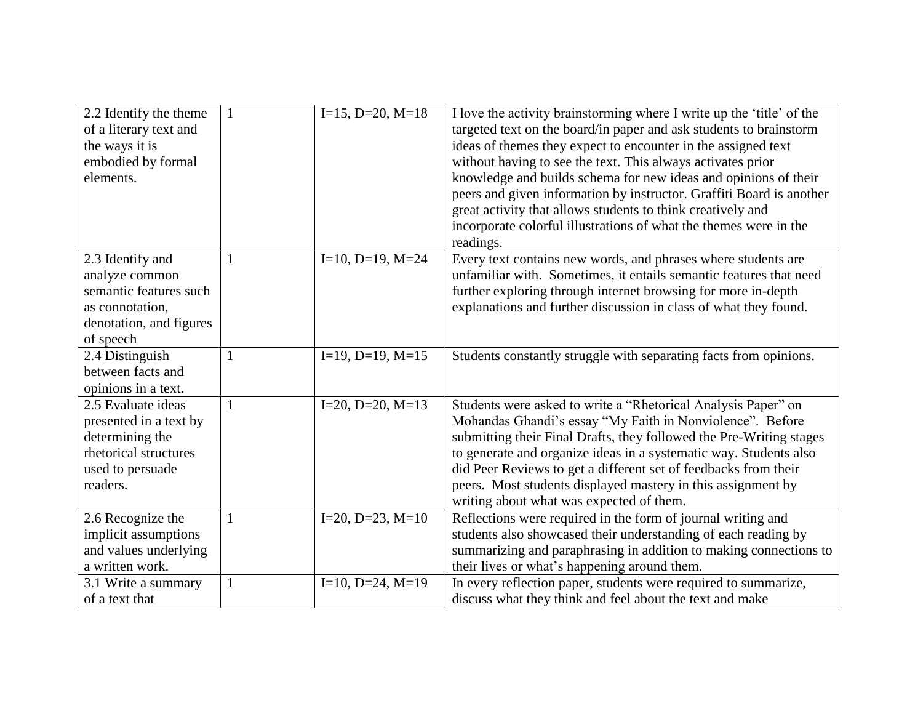| 2.2 Identify the theme<br>of a literary text and<br>the ways it is<br>embodied by formal<br>elements.                    | $\mathbf{1}$ | $I=15$ , $D=20$ , $M=18$ | I love the activity brainstorming where I write up the 'title' of the<br>targeted text on the board/in paper and ask students to brainstorm<br>ideas of themes they expect to encounter in the assigned text<br>without having to see the text. This always activates prior<br>knowledge and builds schema for new ideas and opinions of their<br>peers and given information by instructor. Graffiti Board is another<br>great activity that allows students to think creatively and<br>incorporate colorful illustrations of what the themes were in the<br>readings. |
|--------------------------------------------------------------------------------------------------------------------------|--------------|--------------------------|-------------------------------------------------------------------------------------------------------------------------------------------------------------------------------------------------------------------------------------------------------------------------------------------------------------------------------------------------------------------------------------------------------------------------------------------------------------------------------------------------------------------------------------------------------------------------|
| 2.3 Identify and<br>analyze common<br>semantic features such<br>as connotation,<br>denotation, and figures<br>of speech  | -1           | $I=10$ , $D=19$ , $M=24$ | Every text contains new words, and phrases where students are<br>unfamiliar with. Sometimes, it entails semantic features that need<br>further exploring through internet browsing for more in-depth<br>explanations and further discussion in class of what they found.                                                                                                                                                                                                                                                                                                |
| 2.4 Distinguish<br>between facts and<br>opinions in a text.                                                              | $\mathbf{1}$ | $I=19$ , $D=19$ , $M=15$ | Students constantly struggle with separating facts from opinions.                                                                                                                                                                                                                                                                                                                                                                                                                                                                                                       |
| 2.5 Evaluate ideas<br>presented in a text by<br>determining the<br>rhetorical structures<br>used to persuade<br>readers. | $\mathbf{1}$ | $I=20, D=20, M=13$       | Students were asked to write a "Rhetorical Analysis Paper" on<br>Mohandas Ghandi's essay "My Faith in Nonviolence". Before<br>submitting their Final Drafts, they followed the Pre-Writing stages<br>to generate and organize ideas in a systematic way. Students also<br>did Peer Reviews to get a different set of feedbacks from their<br>peers. Most students displayed mastery in this assignment by<br>writing about what was expected of them.                                                                                                                   |
| 2.6 Recognize the<br>implicit assumptions<br>and values underlying<br>a written work.                                    | $\mathbf{1}$ | $I=20, D=23, M=10$       | Reflections were required in the form of journal writing and<br>students also showcased their understanding of each reading by<br>summarizing and paraphrasing in addition to making connections to<br>their lives or what's happening around them.                                                                                                                                                                                                                                                                                                                     |
| 3.1 Write a summary<br>of a text that                                                                                    | $\mathbf{1}$ | $I=10, D=24, M=19$       | In every reflection paper, students were required to summarize,<br>discuss what they think and feel about the text and make                                                                                                                                                                                                                                                                                                                                                                                                                                             |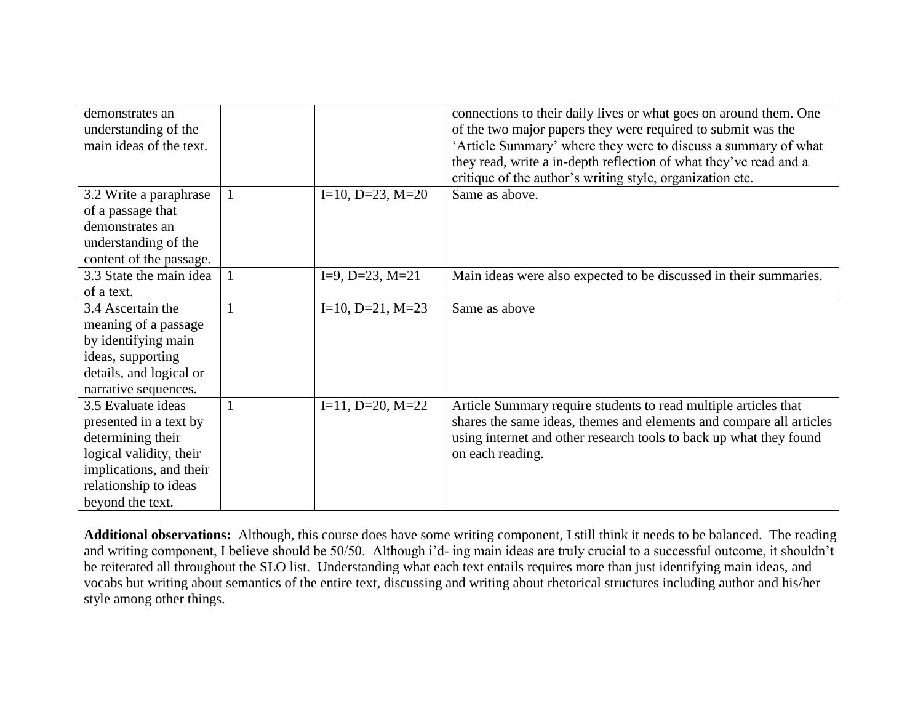| demonstrates an<br>understanding of the<br>main ideas of the text.                                                                                                   |              |                          | connections to their daily lives or what goes on around them. One<br>of the two major papers they were required to submit was the<br>'Article Summary' where they were to discuss a summary of what<br>they read, write a in-depth reflection of what they've read and a<br>critique of the author's writing style, organization etc. |
|----------------------------------------------------------------------------------------------------------------------------------------------------------------------|--------------|--------------------------|---------------------------------------------------------------------------------------------------------------------------------------------------------------------------------------------------------------------------------------------------------------------------------------------------------------------------------------|
| 3.2 Write a paraphrase<br>of a passage that<br>demonstrates an<br>understanding of the<br>content of the passage.                                                    | $\mathbf{1}$ | $I=10$ , D=23, M=20      | Same as above.                                                                                                                                                                                                                                                                                                                        |
| 3.3 State the main idea<br>of a text.                                                                                                                                |              | $I=9, D=23, M=21$        | Main ideas were also expected to be discussed in their summaries.                                                                                                                                                                                                                                                                     |
| 3.4 Ascertain the<br>meaning of a passage<br>by identifying main<br>ideas, supporting<br>details, and logical or<br>narrative sequences.                             | $\mathbf{1}$ | $I=10, D=21, M=23$       | Same as above                                                                                                                                                                                                                                                                                                                         |
| 3.5 Evaluate ideas<br>presented in a text by<br>determining their<br>logical validity, their<br>implications, and their<br>relationship to ideas<br>beyond the text. | $\mathbf{1}$ | $I=11$ , $D=20$ , $M=22$ | Article Summary require students to read multiple articles that<br>shares the same ideas, themes and elements and compare all articles<br>using internet and other research tools to back up what they found<br>on each reading.                                                                                                      |

**Additional observations:** Although, this course does have some writing component, I still think it needs to be balanced. The reading and writing component, I believe should be 50/50. Although i'd- ing main ideas are truly crucial to a successful outcome, it shouldn't be reiterated all throughout the SLO list. Understanding what each text entails requires more than just identifying main ideas, and vocabs but writing about semantics of the entire text, discussing and writing about rhetorical structures including author and his/her style among other things.